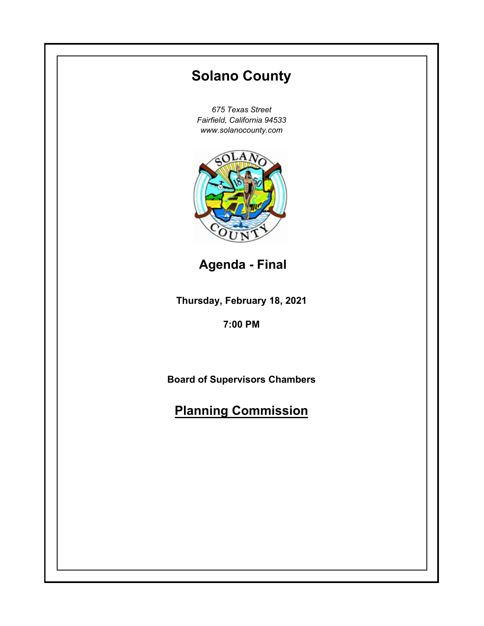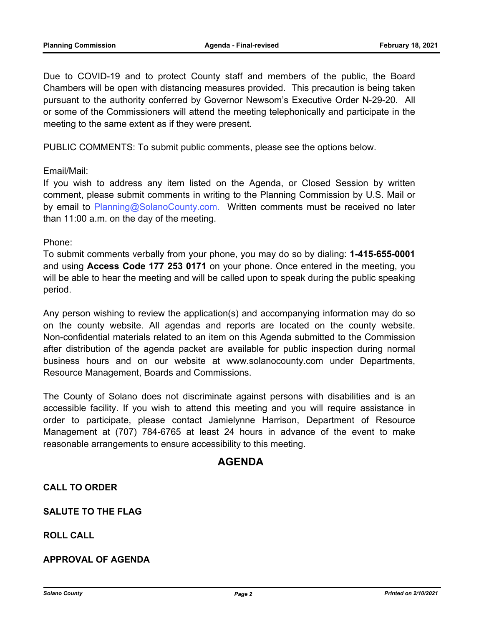Due to COVID-19 and to protect County staff and members of the public, the Board Chambers will be open with distancing measures provided. This precaution is being taken pursuant to the authority conferred by Governor Newsom's Executive Order N-29-20. All or some of the Commissioners will attend the meeting telephonically and participate in the meeting to the same extent as if they were present.

PUBLIC COMMENTS: To submit public comments, please see the options below.

## Email/Mail:

If you wish to address any item listed on the Agenda, or Closed Session by written comment, please submit comments in writing to the Planning Commission by U.S. Mail or by email to Planning@SolanoCounty.com. Written comments must be received no later than 11:00 a.m. on the day of the meeting.

## Phone:

To submit comments verbally from your phone, you may do so by dialing: **1-415-655-0001** and using **Access Code 177 253 0171** on your phone. Once entered in the meeting, you will be able to hear the meeting and will be called upon to speak during the public speaking period.

Any person wishing to review the application(s) and accompanying information may do so on the county website. All agendas and reports are located on the county website. Non-confidential materials related to an item on this Agenda submitted to the Commission after distribution of the agenda packet are available for public inspection during normal business hours and on our website at www.solanocounty.com under Departments, Resource Management, Boards and Commissions.

The County of Solano does not discriminate against persons with disabilities and is an accessible facility. If you wish to attend this meeting and you will require assistance in order to participate, please contact Jamielynne Harrison, Department of Resource Management at (707) 784-6765 at least 24 hours in advance of the event to make reasonable arrangements to ensure accessibility to this meeting.

# **AGENDA**

# **CALL TO ORDER**

**SALUTE TO THE FLAG**

**ROLL CALL**

**APPROVAL OF AGENDA**